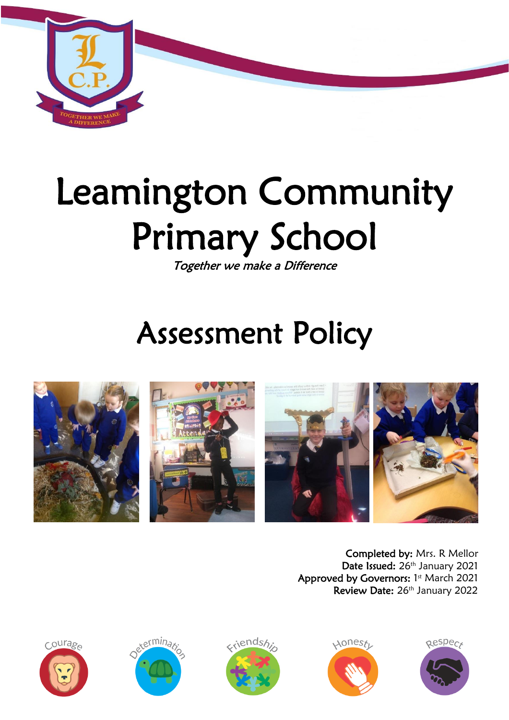

# Leamington Community Primary School

Together we make a Difference

# Assessment Policy



Completed by: Mrs. R Mellor Date Issued: 26<sup>th</sup> January 2021 Approved by Governors: 1st March 2021 Review Date: 26<sup>th</sup> January 2022









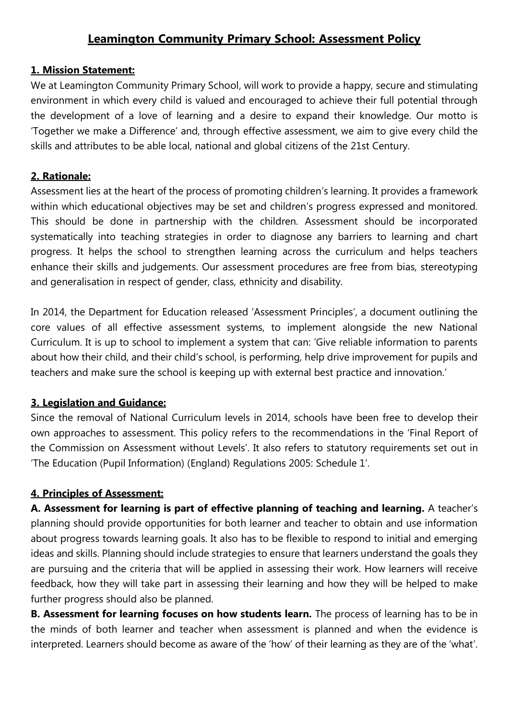# **Leamington Community Primary School: Assessment Policy**

#### **1. Mission Statement:**

We at Leamington Community Primary School, will work to provide a happy, secure and stimulating environment in which every child is valued and encouraged to achieve their full potential through the development of a love of learning and a desire to expand their knowledge. Our motto is 'Together we make a Difference' and, through effective assessment, we aim to give every child the skills and attributes to be able local, national and global citizens of the 21st Century.

#### **2. Rationale:**

Assessment lies at the heart of the process of promoting children's learning. It provides a framework within which educational objectives may be set and children's progress expressed and monitored. This should be done in partnership with the children. Assessment should be incorporated systematically into teaching strategies in order to diagnose any barriers to learning and chart progress. It helps the school to strengthen learning across the curriculum and helps teachers enhance their skills and judgements. Our assessment procedures are free from bias, stereotyping and generalisation in respect of gender, class, ethnicity and disability.

In 2014, the Department for Education released 'Assessment Principles', a document outlining the core values of all effective assessment systems, to implement alongside the new National Curriculum. It is up to school to implement a system that can: 'Give reliable information to parents about how their child, and their child's school, is performing, help drive improvement for pupils and teachers and make sure the school is keeping up with external best practice and innovation.'

#### **3. Legislation and Guidance:**

Since the removal of National Curriculum levels in 2014, schools have been free to develop their own approaches to assessment. This policy refers to the recommendations in the 'Final Report of the Commission on Assessment without Levels'. It also refers to statutory requirements set out in 'The Education (Pupil Information) (England) Regulations 2005: Schedule 1'.

#### **4. Principles of Assessment:**

**A. Assessment for learning is part of effective planning of teaching and learning.** A teacher's planning should provide opportunities for both learner and teacher to obtain and use information about progress towards learning goals. It also has to be flexible to respond to initial and emerging ideas and skills. Planning should include strategies to ensure that learners understand the goals they are pursuing and the criteria that will be applied in assessing their work. How learners will receive feedback, how they will take part in assessing their learning and how they will be helped to make further progress should also be planned.

**B. Assessment for learning focuses on how students learn.** The process of learning has to be in the minds of both learner and teacher when assessment is planned and when the evidence is interpreted. Learners should become as aware of the 'how' of their learning as they are of the 'what'.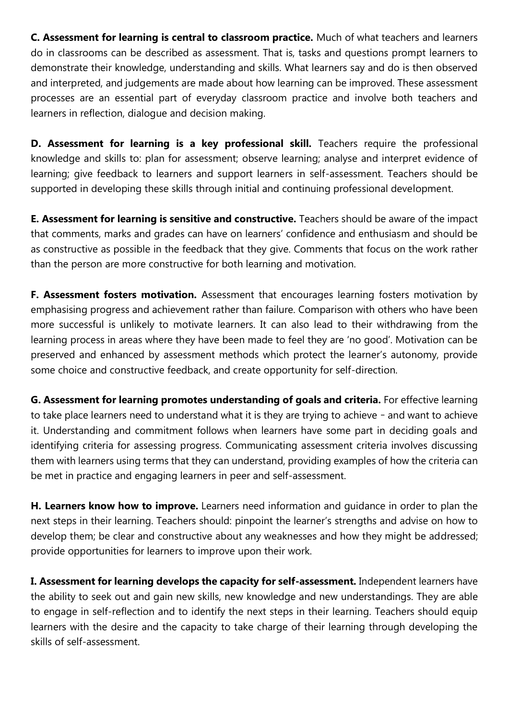**C. Assessment for learning is central to classroom practice.** Much of what teachers and learners do in classrooms can be described as assessment. That is, tasks and questions prompt learners to demonstrate their knowledge, understanding and skills. What learners say and do is then observed and interpreted, and judgements are made about how learning can be improved. These assessment processes are an essential part of everyday classroom practice and involve both teachers and learners in reflection, dialogue and decision making.

**D. Assessment for learning is a key professional skill.** Teachers require the professional knowledge and skills to: plan for assessment; observe learning; analyse and interpret evidence of learning; give feedback to learners and support learners in self-assessment. Teachers should be supported in developing these skills through initial and continuing professional development.

**E. Assessment for learning is sensitive and constructive.** Teachers should be aware of the impact that comments, marks and grades can have on learners' confidence and enthusiasm and should be as constructive as possible in the feedback that they give. Comments that focus on the work rather than the person are more constructive for both learning and motivation.

**F. Assessment fosters motivation.** Assessment that encourages learning fosters motivation by emphasising progress and achievement rather than failure. Comparison with others who have been more successful is unlikely to motivate learners. It can also lead to their withdrawing from the learning process in areas where they have been made to feel they are 'no good'. Motivation can be preserved and enhanced by assessment methods which protect the learner's autonomy, provide some choice and constructive feedback, and create opportunity for self-direction.

**G. Assessment for learning promotes understanding of goals and criteria.** For effective learning to take place learners need to understand what it is they are trying to achieve – and want to achieve it. Understanding and commitment follows when learners have some part in deciding goals and identifying criteria for assessing progress. Communicating assessment criteria involves discussing them with learners using terms that they can understand, providing examples of how the criteria can be met in practice and engaging learners in peer and self-assessment.

**H. Learners know how to improve.** Learners need information and guidance in order to plan the next steps in their learning. Teachers should: pinpoint the learner's strengths and advise on how to develop them; be clear and constructive about any weaknesses and how they might be addressed; provide opportunities for learners to improve upon their work.

**I. Assessment for learning develops the capacity for self-assessment.** Independent learners have the ability to seek out and gain new skills, new knowledge and new understandings. They are able to engage in self-reflection and to identify the next steps in their learning. Teachers should equip learners with the desire and the capacity to take charge of their learning through developing the skills of self-assessment.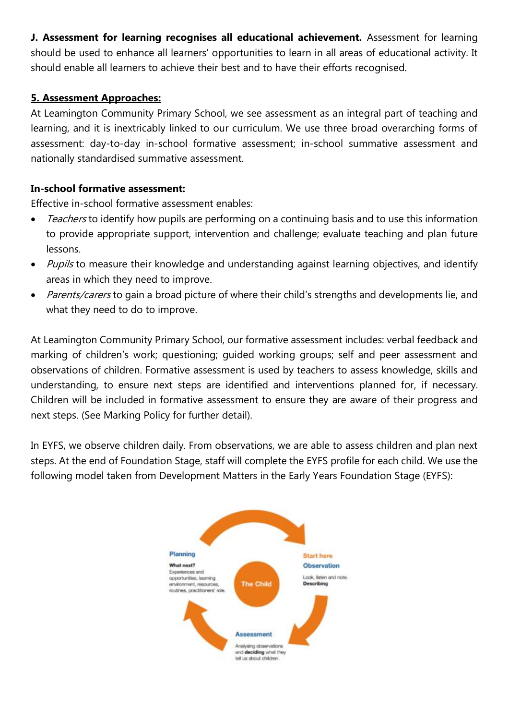**J. Assessment for learning recognises all educational achievement.** Assessment for learning should be used to enhance all learners' opportunities to learn in all areas of educational activity. It should enable all learners to achieve their best and to have their efforts recognised.

#### **5. Assessment Approaches:**

At Leamington Community Primary School, we see assessment as an integral part of teaching and learning, and it is inextricably linked to our curriculum. We use three broad overarching forms of assessment: day-to-day in-school formative assessment; in-school summative assessment and nationally standardised summative assessment.

#### **In-school formative assessment:**

Effective in-school formative assessment enables:

- Teachers to identify how pupils are performing on a continuing basis and to use this information to provide appropriate support, intervention and challenge; evaluate teaching and plan future lessons.
- Pupils to measure their knowledge and understanding against learning objectives, and identify areas in which they need to improve.
- Parents/carers to gain a broad picture of where their child's strengths and developments lie, and what they need to do to improve.

At Leamington Community Primary School, our formative assessment includes: verbal feedback and marking of children's work; questioning; guided working groups; self and peer assessment and observations of children. Formative assessment is used by teachers to assess knowledge, skills and understanding, to ensure next steps are identified and interventions planned for, if necessary. Children will be included in formative assessment to ensure they are aware of their progress and next steps. (See Marking Policy for further detail).

In EYFS, we observe children daily. From observations, we are able to assess children and plan next steps. At the end of Foundation Stage, staff will complete the EYFS profile for each child. We use the following model taken from Development Matters in the Early Years Foundation Stage (EYFS):

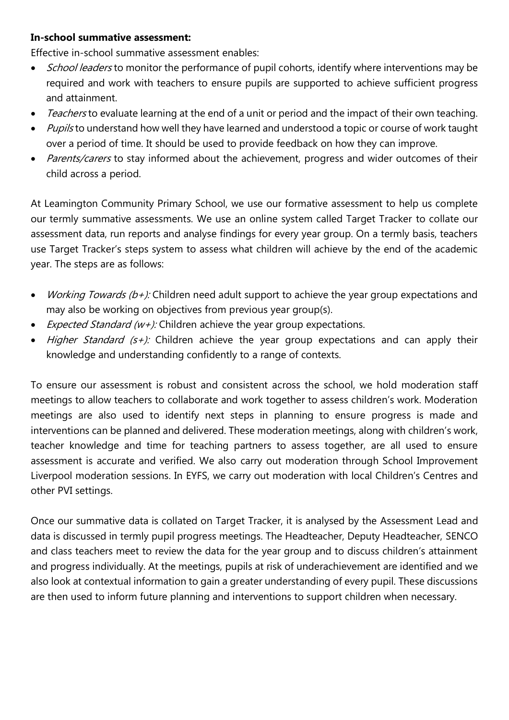#### **In-school summative assessment:**

Effective in-school summative assessment enables:

- School leaders to monitor the performance of pupil cohorts, identify where interventions may be required and work with teachers to ensure pupils are supported to achieve sufficient progress and attainment.
- Teachers to evaluate learning at the end of a unit or period and the impact of their own teaching.
- Pupils to understand how well they have learned and understood a topic or course of work taught over a period of time. It should be used to provide feedback on how they can improve.
- Parents/carers to stay informed about the achievement, progress and wider outcomes of their child across a period.

At Leamington Community Primary School, we use our formative assessment to help us complete our termly summative assessments. We use an online system called Target Tracker to collate our assessment data, run reports and analyse findings for every year group. On a termly basis, teachers use Target Tracker's steps system to assess what children will achieve by the end of the academic year. The steps are as follows:

- *Working Towards (b+):* Children need adult support to achieve the year group expectations and may also be working on objectives from previous year group(s).
- *Expected Standard (w+):* Children achieve the year group expectations.
- $\bullet$  Higher Standard (s+): Children achieve the year group expectations and can apply their knowledge and understanding confidently to a range of contexts.

To ensure our assessment is robust and consistent across the school, we hold moderation staff meetings to allow teachers to collaborate and work together to assess children's work. Moderation meetings are also used to identify next steps in planning to ensure progress is made and interventions can be planned and delivered. These moderation meetings, along with children's work, teacher knowledge and time for teaching partners to assess together, are all used to ensure assessment is accurate and verified. We also carry out moderation through School Improvement Liverpool moderation sessions. In EYFS, we carry out moderation with local Children's Centres and other PVI settings.

Once our summative data is collated on Target Tracker, it is analysed by the Assessment Lead and data is discussed in termly pupil progress meetings. The Headteacher, Deputy Headteacher, SENCO and class teachers meet to review the data for the year group and to discuss children's attainment and progress individually. At the meetings, pupils at risk of underachievement are identified and we also look at contextual information to gain a greater understanding of every pupil. These discussions are then used to inform future planning and interventions to support children when necessary.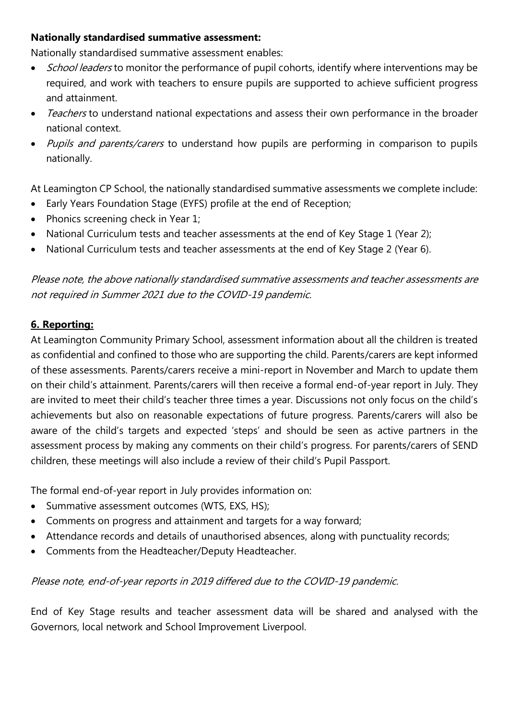#### **Nationally standardised summative assessment:**

Nationally standardised summative assessment enables:

- School leaders to monitor the performance of pupil cohorts, identify where interventions may be required, and work with teachers to ensure pupils are supported to achieve sufficient progress and attainment.
- Teachers to understand national expectations and assess their own performance in the broader national context.
- Pupils and parents/carers to understand how pupils are performing in comparison to pupils nationally.

At Leamington CP School, the nationally standardised summative assessments we complete include:

- Early Years Foundation Stage (EYFS) profile at the end of Reception;
- Phonics screening check in Year 1;
- National Curriculum tests and teacher assessments at the end of Key Stage 1 (Year 2);
- National Curriculum tests and teacher assessments at the end of Key Stage 2 (Year 6).

Please note, the above nationally standardised summative assessments and teacher assessments are not required in Summer 2021 due to the COVID-19 pandemic.

#### **6. Reporting:**

At Leamington Community Primary School, assessment information about all the children is treated as confidential and confined to those who are supporting the child. Parents/carers are kept informed of these assessments. Parents/carers receive a mini-report in November and March to update them on their child's attainment. Parents/carers will then receive a formal end-of-year report in July. They are invited to meet their child's teacher three times a year. Discussions not only focus on the child's achievements but also on reasonable expectations of future progress. Parents/carers will also be aware of the child's targets and expected 'steps' and should be seen as active partners in the assessment process by making any comments on their child's progress. For parents/carers of SEND children, these meetings will also include a review of their child's Pupil Passport.

The formal end-of-year report in July provides information on:

- Summative assessment outcomes (WTS, EXS, HS);
- Comments on progress and attainment and targets for a way forward;
- Attendance records and details of unauthorised absences, along with punctuality records;
- Comments from the Headteacher/Deputy Headteacher.

#### Please note, end-of-year reports in 2019 differed due to the COVID-19 pandemic.

End of Key Stage results and teacher assessment data will be shared and analysed with the Governors, local network and School Improvement Liverpool.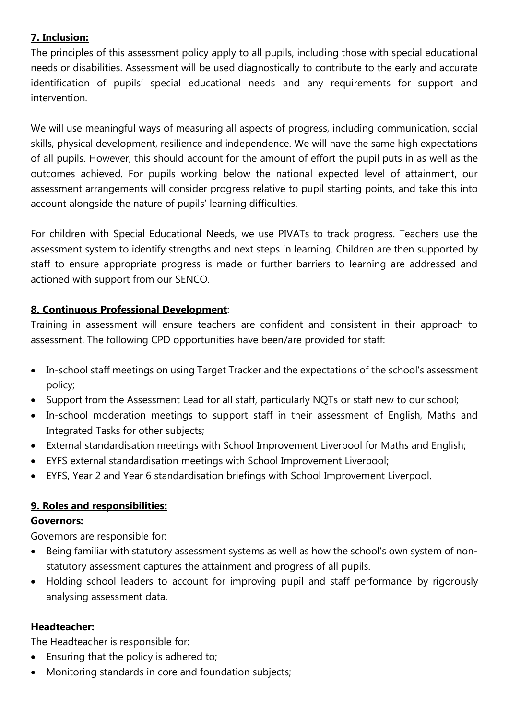# **7. Inclusion:**

The principles of this assessment policy apply to all pupils, including those with special educational needs or disabilities. Assessment will be used diagnostically to contribute to the early and accurate identification of pupils' special educational needs and any requirements for support and intervention.

We will use meaningful ways of measuring all aspects of progress, including communication, social skills, physical development, resilience and independence. We will have the same high expectations of all pupils. However, this should account for the amount of effort the pupil puts in as well as the outcomes achieved. For pupils working below the national expected level of attainment, our assessment arrangements will consider progress relative to pupil starting points, and take this into account alongside the nature of pupils' learning difficulties.

For children with Special Educational Needs, we use PIVATs to track progress. Teachers use the assessment system to identify strengths and next steps in learning. Children are then supported by staff to ensure appropriate progress is made or further barriers to learning are addressed and actioned with support from our SENCO.

## **8. Continuous Professional Development**:

Training in assessment will ensure teachers are confident and consistent in their approach to assessment. The following CPD opportunities have been/are provided for staff:

- In-school staff meetings on using Target Tracker and the expectations of the school's assessment policy;
- Support from the Assessment Lead for all staff, particularly NQTs or staff new to our school;
- In-school moderation meetings to support staff in their assessment of English, Maths and Integrated Tasks for other subjects;
- External standardisation meetings with School Improvement Liverpool for Maths and English;
- EYFS external standardisation meetings with School Improvement Liverpool;
- EYFS, Year 2 and Year 6 standardisation briefings with School Improvement Liverpool.

#### **9. Roles and responsibilities:**

#### **Governors:**

Governors are responsible for:

- Being familiar with statutory assessment systems as well as how the school's own system of nonstatutory assessment captures the attainment and progress of all pupils.
- Holding school leaders to account for improving pupil and staff performance by rigorously analysing assessment data.

#### **Headteacher:**

The Headteacher is responsible for:

- Ensuring that the policy is adhered to;
- Monitoring standards in core and foundation subjects;